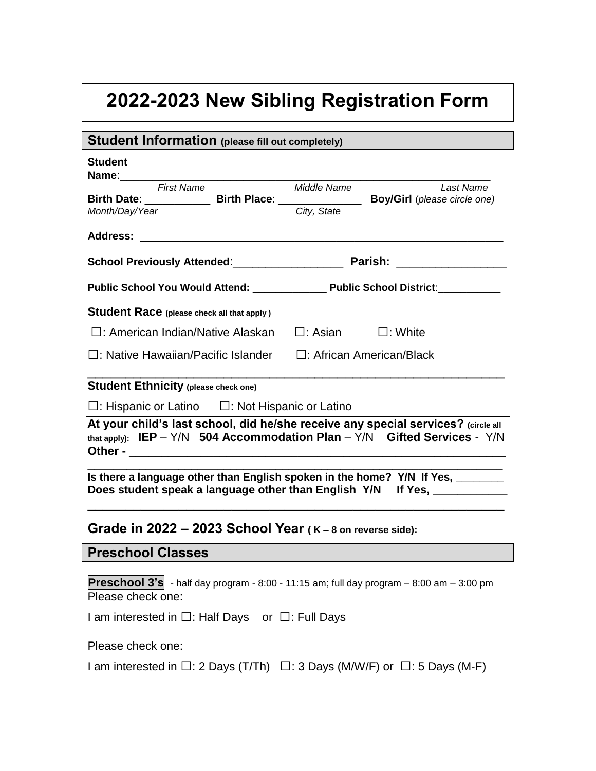## **2022-2023 New Sibling Registration Form**

| <b>Student Information (please fill out completely)</b>                                                                                                              |                               |           |
|----------------------------------------------------------------------------------------------------------------------------------------------------------------------|-------------------------------|-----------|
| <b>Student</b><br>Name: 1990 - 1990 - 1991 - 1992 - 1993 - 1994 - 1995 - 1996 - 1997 - 1998 - 1999 - 1999 - 1999 - 1999 - 1999 -                                     |                               |           |
| <b>First Name</b>                                                                                                                                                    | Middle Name                   | Last Name |
| Birth Date: ______________________Birth Place: __________________________________ Boy/Girl (please circle one)<br>Month/Day/Year                                     | City, State                   |           |
|                                                                                                                                                                      |                               |           |
|                                                                                                                                                                      |                               |           |
|                                                                                                                                                                      |                               |           |
|                                                                                                                                                                      |                               |           |
| Student Race (please check all that apply)                                                                                                                           |                               |           |
| □: American Indian/Native Alaskan                                                                                                                                    | $\Box$ : Asian $\Box$ : White |           |
| $\Box$ : Native Hawaiian/Pacific Islander $\Box$ : African American/Black                                                                                            |                               |           |
| <b>Student Ethnicity (please check one)</b>                                                                                                                          |                               |           |
| $\Box$ : Hispanic or Latino $\Box$ : Not Hispanic or Latino                                                                                                          |                               |           |
| At your child's last school, did he/she receive any special services? (circle all<br>that apply): $IEP - Y/N$ 504 Accommodation Plan - $Y/N$ Gifted Services - $Y/N$ |                               |           |
| Is there a language other than English spoken in the home? Y/N If Yes, ________<br>Does student speak a language other than English Y/N If Yes, __________           |                               |           |
| Grade in $2022 - 2023$ School Year ( $K - 8$ on reverse side):                                                                                                       |                               |           |
| <b>Preschool Classes</b>                                                                                                                                             |                               |           |
| <b>Preschool 3's</b> - half day program - 8:00 - 11:15 am; full day program $-$ 8:00 am $-$ 3:00 pm                                                                  |                               |           |

Please check one:

I am interested in *□*: Half Days or *□*: Full Days

Please check one:

I am interested in *□*: 2 Days (T/Th) *□*: 3 Days (M/W/F) or *□*: 5 Days (M-F)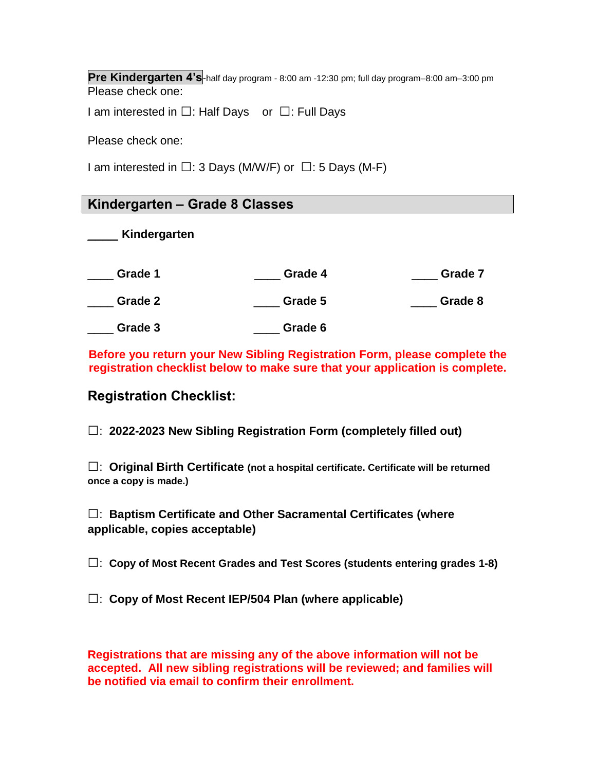**Pre Kindergarten 4's**-half day program - 8:00 am -12:30 pm; full day program–8:00 am–3:00 pm Please check one:

I am interested in *□*: Half Days or *□*: Full Days

Please check one:

I am interested in *□*: 3 Days (M/W/F) or *□*: 5 Days (M-F)

## **Kindergarten – Grade 8 Classes**

\_\_\_\_ **Kindergarten**

\_\_\_\_ **Grade 1** \_\_\_\_ **Grade 4** \_\_\_\_ **Grade 7**

\_\_\_\_ **Grade 2** \_\_\_\_ **Grade 5** \_\_\_\_ **Grade 8**

\_\_\_\_ **Grade 3** \_\_\_\_ **Grade 6** 

**Before you return your New Sibling Registration Form, please complete the registration checklist below to make sure that your application is complete.** 

## **Registration Checklist:**

*□*: **2022-2023 New Sibling Registration Form (completely filled out)**

*□*: **Original Birth Certificate (not a hospital certificate. Certificate will be returned once a copy is made.)** 

*□*: **Baptism Certificate and Other Sacramental Certificates (where applicable, copies acceptable)**

*□*: **Copy of Most Recent Grades and Test Scores (students entering grades 1-8)**

*□*: **Copy of Most Recent IEP/504 Plan (where applicable)**

**Registrations that are missing any of the above information will not be accepted. All new sibling registrations will be reviewed; and families will be notified via email to confirm their enrollment.**